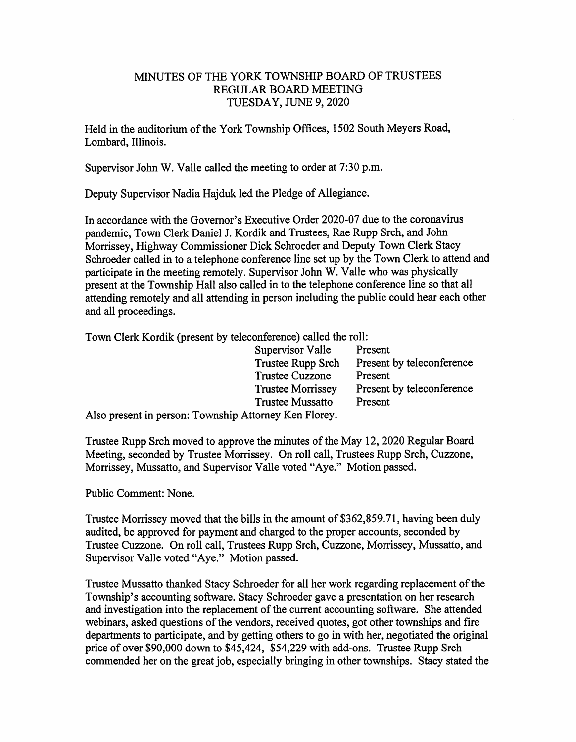## MINUTES OF THE YORK TOWNSHIP BOARD OF TRUSTEES REGULAR BOARD MEETING TUESDAY, JUNE 9,2020

Held in the auditorium of the York Township Offices, 1502 South Meyers Road, Lombard, Illinois.

Supervisor John W. Valle called the meeting to order at 7:30 p.m.

Deputy Supervisor Nadia Hajduk led the Pledge of Allegiance.

In accordance with the Governor's Executive Order 2020-07 due to the coronavirus pandemic. Town Clerk Daniel J. Kordik and Trustees, Rae Rupp Srch, and John Morrissey, Highway Commissioner Dick Schroeder and Deputy Town Clerk Stacy Schroeder called in to a telephone conference line set up by the Town Clerk to attend and participate in the meeting remotely. Supervisor John W. Valle who was physically present at the Township Hall also called in to the telephone conference line so that all attending remotely and all attending in person including the public could hear each other and all proceedings.

Tovm Clerk Kordik (present by teleconference) called the roll:

|                                                       | Supervisor Valle         | Present                   |
|-------------------------------------------------------|--------------------------|---------------------------|
|                                                       | Trustee Rupp Srch        | Present by teleconference |
|                                                       | <b>Trustee Cuzzone</b>   | Present                   |
|                                                       | <b>Trustee Morrissey</b> | Present by teleconference |
|                                                       | <b>Trustee Mussatto</b>  | Present                   |
| Also present in person: Township Attorney Ken Florey. |                          |                           |

Trustee Rupp Srch moved to approve the minutes of the May 12,2020 Regular Board Meeting, seconded by Trustee Morrissey. On roll call. Trustees Rupp Srch, Cuzzone, Morrissey, Mussatto, and Supervisor Valle voted "Aye." Motion passed.

Public Comment: None.

Trustee Morrissey moved that the bills in the amount of \$362,859.71, having been duly audited, be approved for payment and charged to the proper accounts, seconded by Trustee Cuzzone. On roll call. Trustees Rupp Srch, Cuzzone, Morrissey, Mussatto, and Supervisor Valle voted "Aye." Motion passed.

Trustee Mussatto thanked Stacy Schroeder for all her work regarding replacement of the Township's accounting software. Stacy Schroeder gave a presentation on her research and investigation into the replacement of the current accounting software. She attended webinars, asked questions of the vendors, received quotes, got other townships and fire departments to participate, and by getting others to go in with her, negotiated the original price of over \$90,000 down to \$45,424, \$54,229 with add-ons. Trustee Rupp Srch commended her on the great job, especially bringing in other townships. Stacy stated the